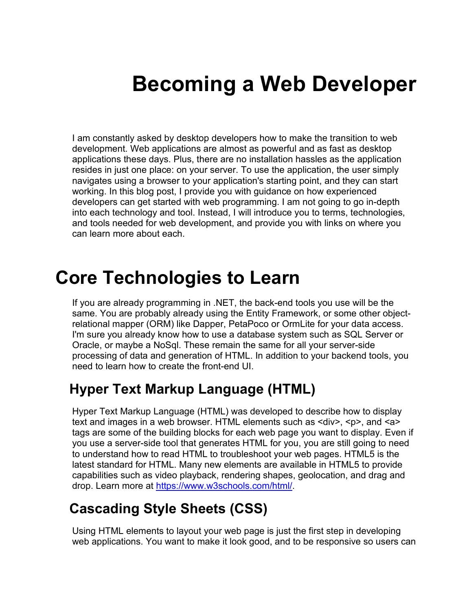# **Becoming a Web Developer**

I am constantly asked by desktop developers how to make the transition to web development. Web applications are almost as powerful and as fast as desktop applications these days. Plus, there are no installation hassles as the application resides in just one place: on your server. To use the application, the user simply navigates using a browser to your application's starting point, and they can start working. In this blog post, I provide you with guidance on how experienced developers can get started with web programming. I am not going to go in-depth into each technology and tool. Instead, I will introduce you to terms, technologies, and tools needed for web development, and provide you with links on where you can learn more about each.

## **Core Technologies to Learn**

If you are already programming in .NET, the back-end tools you use will be the same. You are probably already using the Entity Framework, or some other objectrelational mapper (ORM) like Dapper, PetaPoco or OrmLite for your data access. I'm sure you already know how to use a database system such as SQL Server or Oracle, or maybe a NoSql. These remain the same for all your server-side processing of data and generation of HTML. In addition to your backend tools, you need to learn how to create the front-end UI.

### **Hyper Text Markup Language (HTML)**

Hyper Text Markup Language (HTML) was developed to describe how to display text and images in a web browser. HTML elements such as  $\langle \text{div} \rangle$ ,  $\langle \text{p} \rangle$ , and  $\langle \text{a} \rangle$ tags are some of the building blocks for each web page you want to display. Even if you use a server-side tool that generates HTML for you, you are still going to need to understand how to read HTML to troubleshoot your web pages. HTML5 is the latest standard for HTML. Many new elements are available in HTML5 to provide capabilities such as video playback, rendering shapes, geolocation, and drag and drop. Learn more at https://www.w3schools.com/html/

### **Cascading Style Sheets (CSS)**

Using HTML elements to layout your web page is just the first step in developing web applications. You want to make it look good, and to be responsive so users can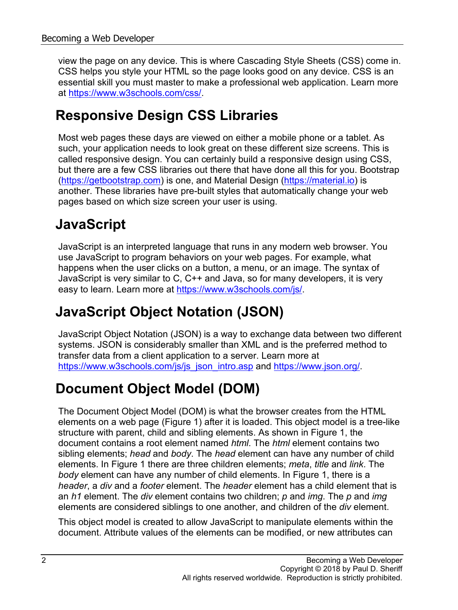view the page on any device. This is where Cascading Style Sheets (CSS) come in. CSS helps you style your HTML so the page looks good on any device. CSS is an essential skill you must master to make a professional web application. Learn more at [https://www.w3schools.com/css/.](https://www.w3schools.com/css/)

#### **Responsive Design CSS Libraries**

Most web pages these days are viewed on either a mobile phone or a tablet. As such, your application needs to look great on these different size screens. This is called responsive design. You can certainly build a responsive design using CSS, but there are a few CSS libraries out there that have done all this for you. Bootstrap [\(https://getbootstrap.com\)](https://getbootstrap.com/) is one, and Material Design [\(https://material.io\)](https://material.io/) is another. These libraries have pre-built styles that automatically change your web pages based on which size screen your user is using.

### **JavaScript**

JavaScript is an interpreted language that runs in any modern web browser. You use JavaScript to program behaviors on your web pages. For example, what happens when the user clicks on a button, a menu, or an image. The syntax of JavaScript is very similar to C, C++ and Java, so for many developers, it is very easy to learn. Learn more at [https://www.w3schools.com/js/.](https://www.w3schools.com/js/)

### **JavaScript Object Notation (JSON)**

JavaScript Object Notation (JSON) is a way to exchange data between two different systems. JSON is considerably smaller than XML and is the preferred method to transfer data from a client application to a server. Learn more at [https://www.w3schools.com/js/js\\_json\\_intro.asp](https://www.w3schools.com/js/js_json_intro.asp) and [https://www.json.org/.](https://www.json.org/)

### **Document Object Model (DOM)**

The Document Object Model (DOM) is what the browser creates from the HTML elements on a web page (Figure 1) after it is loaded. This object model is a tree-like structure with parent, child and sibling elements. As shown in Figure 1, the document contains a root element named *html*. The *html* element contains two sibling elements; *head* and *body*. The *head* element can have any number of child elements. In Figure 1 there are three children elements; *meta*, *title* and *link*. The *body* element can have any number of child elements. In Figure 1, there is a *header*, a *div* and a *footer* element. The *header* element has a child element that is an *h1* element. The *div* element contains two children; *p* and *img*. The *p* and *img* elements are considered siblings to one another, and children of the *div* element.

This object model is created to allow JavaScript to manipulate elements within the document. Attribute values of the elements can be modified, or new attributes can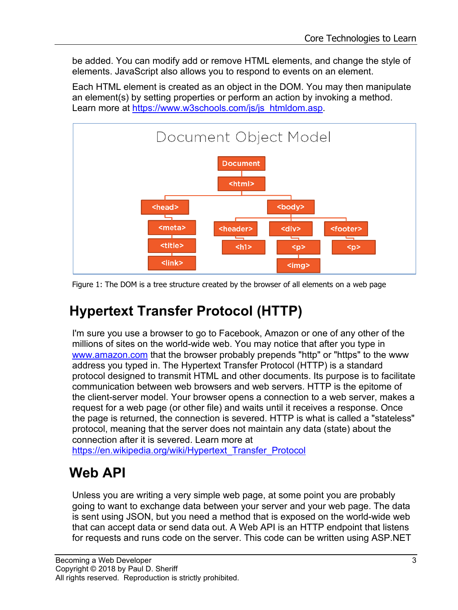be added. You can modify add or remove HTML elements, and change the style of elements. JavaScript also allows you to respond to events on an element.

Each HTML element is created as an object in the DOM. You may then manipulate an element(s) by setting properties or perform an action by invoking a method. Learn more at [https://www.w3schools.com/js/js\\_htmldom.asp.](https://www.w3schools.com/js/js_htmldom.asp)



Figure 1: The DOM is a tree structure created by the browser of all elements on a web page

### **Hypertext Transfer Protocol (HTTP)**

I'm sure you use a browser to go to Facebook, Amazon or one of any other of the millions of sites on the world-wide web. You may notice that after you type in [www.amazon.com](http://www.amazon.com/) that the browser probably prepends "http" or "https" to the www address you typed in. The Hypertext Transfer Protocol (HTTP) is a standard protocol designed to transmit HTML and other documents. Its purpose is to facilitate communication between web browsers and web servers. HTTP is the epitome of the client-server model. Your browser opens a connection to a web server, makes a request for a web page (or other file) and waits until it receives a response. Once the page is returned, the connection is severed. HTTP is what is called a "stateless" protocol, meaning that the server does not maintain any data (state) about the connection after it is severed. Learn more at

[https://en.wikipedia.org/wiki/Hypertext\\_Transfer\\_Protocol](https://en.wikipedia.org/wiki/Hypertext_Transfer_Protocol)

### **Web API**

Unless you are writing a very simple web page, at some point you are probably going to want to exchange data between your server and your web page. The data is sent using JSON, but you need a method that is exposed on the world-wide web that can accept data or send data out. A Web API is an HTTP endpoint that listens for requests and runs code on the server. This code can be written using ASP.NET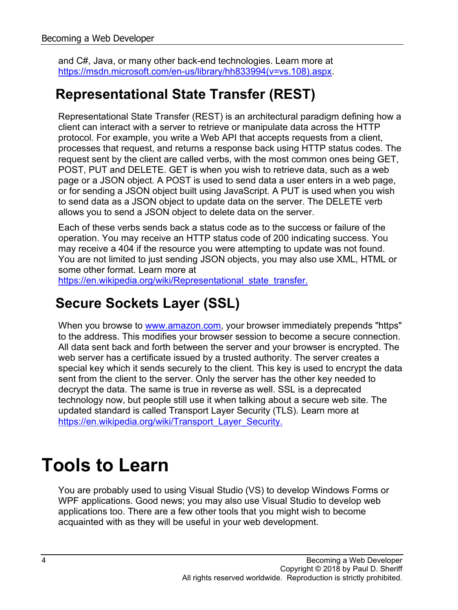and C#, Java, or many other back-end technologies. Learn more at [https://msdn.microsoft.com/en-us/library/hh833994\(v=vs.108\).aspx.](https://msdn.microsoft.com/en-us/library/hh833994(v=vs.108).aspx)

#### **Representational State Transfer (REST)**

Representational State Transfer (REST) is an architectural paradigm defining how a client can interact with a server to retrieve or manipulate data across the HTTP protocol. For example, you write a Web API that accepts requests from a client, processes that request, and returns a response back using HTTP status codes. The request sent by the client are called verbs, with the most common ones being GET, POST, PUT and DELETE. GET is when you wish to retrieve data, such as a web page or a JSON object. A POST is used to send data a user enters in a web page, or for sending a JSON object built using JavaScript. A PUT is used when you wish to send data as a JSON object to update data on the server. The DELETE verb allows you to send a JSON object to delete data on the server.

Each of these verbs sends back a status code as to the success or failure of the operation. You may receive an HTTP status code of 200 indicating success. You may receive a 404 if the resource you were attempting to update was not found. You are not limited to just sending JSON objects, you may also use XML, HTML or some other format. Learn more at

[https://en.wikipedia.org/wiki/Representational\\_state\\_transfer.](https://en.wikipedia.org/wiki/Representational_state_transfer)

### **Secure Sockets Layer (SSL)**

When you browse to **www.amazon.com**, your browser immediately prepends "https" to the address. This modifies your browser session to become a secure connection. All data sent back and forth between the server and your browser is encrypted. The web server has a certificate issued by a trusted authority. The server creates a special key which it sends securely to the client. This key is used to encrypt the data sent from the client to the server. Only the server has the other key needed to decrypt the data. The same is true in reverse as well. SSL is a deprecated technology now, but people still use it when talking about a secure web site. The updated standard is called Transport Layer Security (TLS). Learn more at [https://en.wikipedia.org/wiki/Transport\\_Layer\\_Security.](https://en.wikipedia.org/wiki/Transport_Layer_Security)

# **Tools to Learn**

You are probably used to using Visual Studio (VS) to develop Windows Forms or WPF applications. Good news; you may also use Visual Studio to develop web applications too. There are a few other tools that you might wish to become acquainted with as they will be useful in your web development.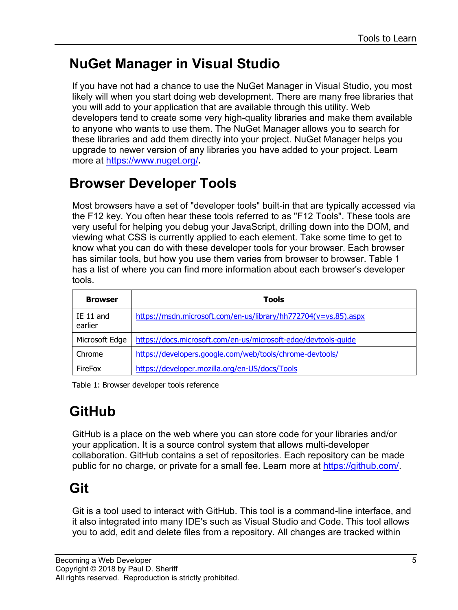### **NuGet Manager in Visual Studio**

If you have not had a chance to use the NuGet Manager in Visual Studio, you most likely will when you start doing web development. There are many free libraries that you will add to your application that are available through this utility. Web developers tend to create some very high-quality libraries and make them available to anyone who wants to use them. The NuGet Manager allows you to search for these libraries and add them directly into your project. NuGet Manager helps you upgrade to newer version of any libraries you have added to your project. Learn more at <https://www.nuget.org/>**.**

#### **Browser Developer Tools**

Most browsers have a set of "developer tools" built-in that are typically accessed via the F12 key. You often hear these tools referred to as "F12 Tools". These tools are very useful for helping you debug your JavaScript, drilling down into the DOM, and viewing what CSS is currently applied to each element. Take some time to get to know what you can do with these developer tools for your browser. Each browser has similar tools, but how you use them varies from browser to browser. Table 1 has a list of where you can find more information about each browser's developer tools.

| <b>Browser</b>       | <b>Tools</b>                                                    |
|----------------------|-----------------------------------------------------------------|
| IE 11 and<br>earlier | https://msdn.microsoft.com/en-us/library/hh772704(v=vs.85).aspx |
| Microsoft Edge       | https://docs.microsoft.com/en-us/microsoft-edge/devtools-quide  |
| Chrome               | https://developers.google.com/web/tools/chrome-devtools/        |
| FireFox              | https://developer.mozilla.org/en-US/docs/Tools                  |

Table 1: Browser developer tools reference

## **GitHub**

GitHub is a place on the web where you can store code for your libraries and/or your application. It is a source control system that allows multi-developer collaboration. GitHub contains a set of repositories. Each repository can be made public for no charge, or private for a small fee. Learn more at [https://github.com/.](https://github.com/)

#### **Git**

Git is a tool used to interact with GitHub. This tool is a command-line interface, and it also integrated into many IDE's such as Visual Studio and Code. This tool allows you to add, edit and delete files from a repository. All changes are tracked within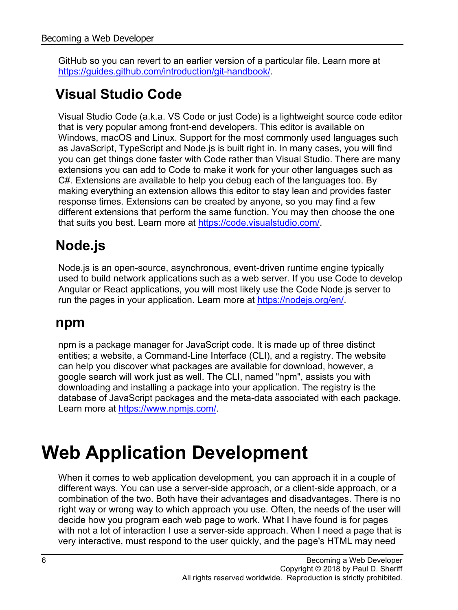GitHub so you can revert to an earlier version of a particular file. Learn more at [https://guides.github.com/introduction/git-handbook/.](https://guides.github.com/introduction/git-handbook/)

### **Visual Studio Code**

Visual Studio Code (a.k.a. VS Code or just Code) is a lightweight source code editor that is very popular among front-end developers. This editor is available on Windows, macOS and Linux. Support for the most commonly used languages such as JavaScript, TypeScript and Node.js is built right in. In many cases, you will find you can get things done faster with Code rather than Visual Studio. There are many extensions you can add to Code to make it work for your other languages such as C#. Extensions are available to help you debug each of the languages too. By making everything an extension allows this editor to stay lean and provides faster response times. Extensions can be created by anyone, so you may find a few different extensions that perform the same function. You may then choose the one that suits you best. Learn more at [https://code.visualstudio.com/.](https://code.visualstudio.com/)

## **Node.js**

Node.js is an open-source, asynchronous, event-driven runtime engine typically used to build network applications such as a web server. If you use Code to develop Angular or React applications, you will most likely use the Code Node.js server to run the pages in your application. Learn more at [https://nodejs.org/en/.](https://nodejs.org/en/)

#### **npm**

npm is a package manager for JavaScript code. It is made up of three distinct entities; a website, a Command-Line Interface (CLI), and a registry. The website can help you discover what packages are available for download, however, a google search will work just as well. The CLI, named "npm", assists you with downloading and installing a package into your application. The registry is the database of JavaScript packages and the meta-data associated with each package. Learn more at [https://www.npmjs.com/.](https://www.npmjs.com/)

# **Web Application Development**

When it comes to web application development, you can approach it in a couple of different ways. You can use a server-side approach, or a client-side approach, or a combination of the two. Both have their advantages and disadvantages. There is no right way or wrong way to which approach you use. Often, the needs of the user will decide how you program each web page to work. What I have found is for pages with not a lot of interaction I use a server-side approach. When I need a page that is very interactive, must respond to the user quickly, and the page's HTML may need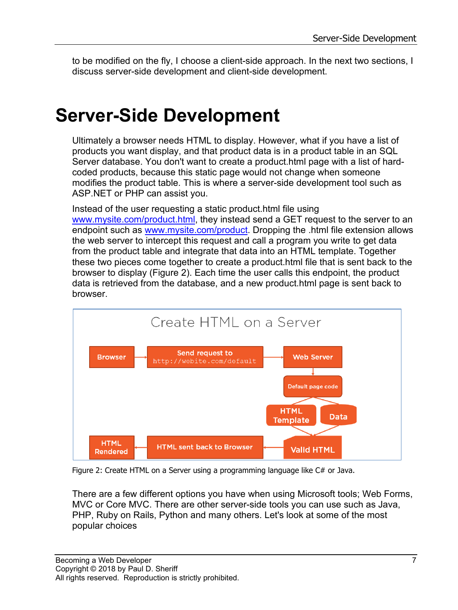to be modified on the fly, I choose a client-side approach. In the next two sections, I discuss server-side development and client-side development.

## **Server-Side Development**

Ultimately a browser needs HTML to display. However, what if you have a list of products you want display, and that product data is in a product table in an SQL Server database. You don't want to create a product.html page with a list of hardcoded products, because this static page would not change when someone modifies the product table. This is where a server-side development tool such as ASP.NET or PHP can assist you.

Instead of the user requesting a static product.html file using [www.mysite.com/product.html,](http://www.mysite.com/product.html) they instead send a GET request to the server to an endpoint such as [www.mysite.com/product.](http://www.mysite.com/product) Dropping the .html file extension allows the web server to intercept this request and call a program you write to get data from the product table and integrate that data into an HTML template. Together these two pieces come together to create a product.html file that is sent back to the browser to display (Figure 2). Each time the user calls this endpoint, the product data is retrieved from the database, and a new product.html page is sent back to browser.



Figure 2: Create HTML on a Server using a programming language like C# or Java.

There are a few different options you have when using Microsoft tools; Web Forms, MVC or Core MVC. There are other server-side tools you can use such as Java, PHP, Ruby on Rails, Python and many others. Let's look at some of the most popular choices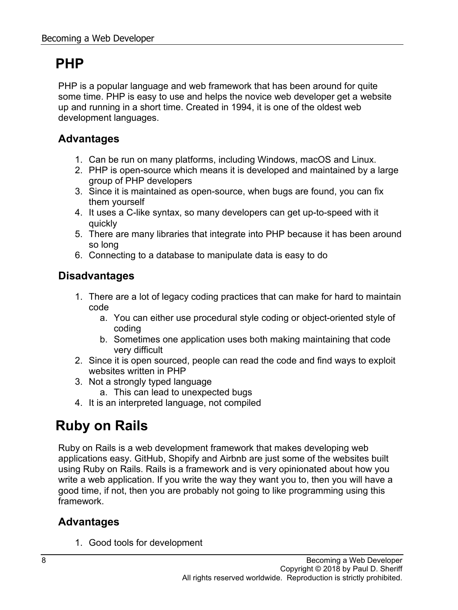#### **PHP**

PHP is a popular language and web framework that has been around for quite some time. PHP is easy to use and helps the novice web developer get a website up and running in a short time. Created in 1994, it is one of the oldest web development languages.

#### **Advantages**

- 1. Can be run on many platforms, including Windows, macOS and Linux.
- 2. PHP is open-source which means it is developed and maintained by a large group of PHP developers
- 3. Since it is maintained as open-source, when bugs are found, you can fix them yourself
- 4. It uses a C-like syntax, so many developers can get up-to-speed with it quickly
- 5. There are many libraries that integrate into PHP because it has been around so long
- 6. Connecting to a database to manipulate data is easy to do

#### **Disadvantages**

- 1. There are a lot of legacy coding practices that can make for hard to maintain code
	- a. You can either use procedural style coding or object-oriented style of coding
	- b. Sometimes one application uses both making maintaining that code very difficult
- 2. Since it is open sourced, people can read the code and find ways to exploit websites written in PHP
- 3. Not a strongly typed language
	- a. This can lead to unexpected bugs
- 4. It is an interpreted language, not compiled

### **Ruby on Rails**

Ruby on Rails is a web development framework that makes developing web applications easy. GitHub, Shopify and Airbnb are just some of the websites built using Ruby on Rails. Rails is a framework and is very opinionated about how you write a web application. If you write the way they want you to, then you will have a good time, if not, then you are probably not going to like programming using this framework.

#### **Advantages**

1. Good tools for development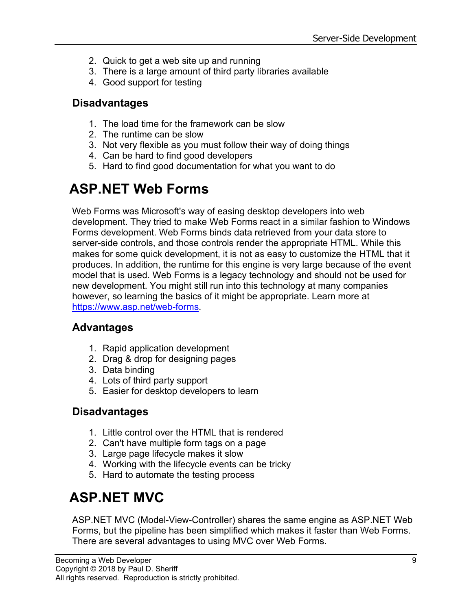- 2. Quick to get a web site up and running
- 3. There is a large amount of third party libraries available
- 4. Good support for testing

#### **Disadvantages**

- 1. The load time for the framework can be slow
- 2. The runtime can be slow
- 3. Not very flexible as you must follow their way of doing things
- 4. Can be hard to find good developers
- 5. Hard to find good documentation for what you want to do

### **ASP.NET Web Forms**

Web Forms was Microsoft's way of easing desktop developers into web development. They tried to make Web Forms react in a similar fashion to Windows Forms development. Web Forms binds data retrieved from your data store to server-side controls, and those controls render the appropriate HTML. While this makes for some quick development, it is not as easy to customize the HTML that it produces. In addition, the runtime for this engine is very large because of the event model that is used. Web Forms is a legacy technology and should not be used for new development. You might still run into this technology at many companies however, so learning the basics of it might be appropriate. Learn more at [https://www.asp.net/web-forms.](https://www.asp.net/web-forms)

#### **Advantages**

- 1. Rapid application development
- 2. Drag & drop for designing pages
- 3. Data binding
- 4. Lots of third party support
- 5. Easier for desktop developers to learn

#### **Disadvantages**

- 1. Little control over the HTML that is rendered
- 2. Can't have multiple form tags on a page
- 3. Large page lifecycle makes it slow
- 4. Working with the lifecycle events can be tricky
- 5. Hard to automate the testing process

## **ASP.NET MVC**

ASP.NET MVC (Model-View-Controller) shares the same engine as ASP.NET Web Forms, but the pipeline has been simplified which makes it faster than Web Forms. There are several advantages to using MVC over Web Forms.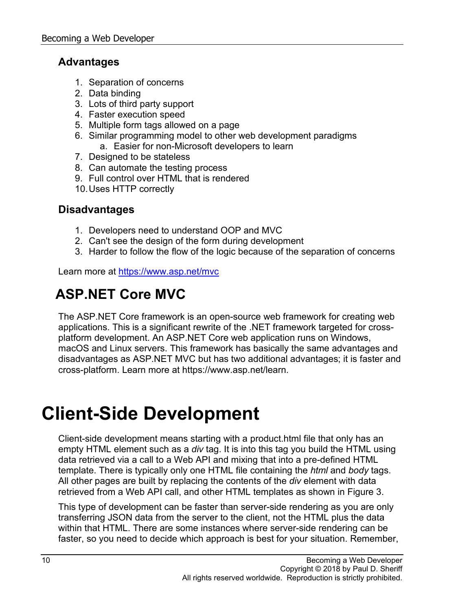#### **Advantages**

- 1. Separation of concerns
- 2. Data binding
- 3. Lots of third party support
- 4. Faster execution speed
- 5. Multiple form tags allowed on a page
- 6. Similar programming model to other web development paradigms a. Easier for non-Microsoft developers to learn
- 
- 7. Designed to be stateless
- 8. Can automate the testing process
- 9. Full control over HTML that is rendered
- 10.Uses HTTP correctly

#### **Disadvantages**

- 1. Developers need to understand OOP and MVC
- 2. Can't see the design of the form during development
- 3. Harder to follow the flow of the logic because of the separation of concerns

Learn more at <https://www.asp.net/mvc>

### **ASP.NET Core MVC**

The ASP.NET Core framework is an open-source web framework for creating web applications. This is a significant rewrite of the .NET framework targeted for crossplatform development. An ASP.NET Core web application runs on Windows, macOS and Linux servers. This framework has basically the same advantages and disadvantages as ASP.NET MVC but has two additional advantages; it is faster and cross-platform. Learn more at https://www.asp.net/learn.

# **Client-Side Development**

Client-side development means starting with a product.html file that only has an empty HTML element such as a *div* tag. It is into this tag you build the HTML using data retrieved via a call to a Web API and mixing that into a pre-defined HTML template. There is typically only one HTML file containing the *html* and *body* tags. All other pages are built by replacing the contents of the *div* element with data retrieved from a Web API call, and other HTML templates as shown in Figure 3.

This type of development can be faster than server-side rendering as you are only transferring JSON data from the server to the client, not the HTML plus the data within that HTML. There are some instances where server-side rendering can be faster, so you need to decide which approach is best for your situation. Remember,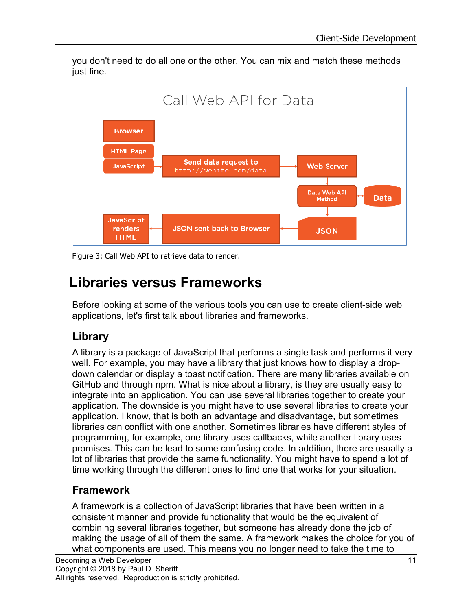you don't need to do all one or the other. You can mix and match these methods just fine.



Figure 3: Call Web API to retrieve data to render.

#### **Libraries versus Frameworks**

Before looking at some of the various tools you can use to create client-side web applications, let's first talk about libraries and frameworks.

#### **Library**

A library is a package of JavaScript that performs a single task and performs it very well. For example, you may have a library that just knows how to display a dropdown calendar or display a toast notification. There are many libraries available on GitHub and through npm. What is nice about a library, is they are usually easy to integrate into an application. You can use several libraries together to create your application. The downside is you might have to use several libraries to create your application. I know, that is both an advantage and disadvantage, but sometimes libraries can conflict with one another. Sometimes libraries have different styles of programming, for example, one library uses callbacks, while another library uses promises. This can be lead to some confusing code. In addition, there are usually a lot of libraries that provide the same functionality. You might have to spend a lot of time working through the different ones to find one that works for your situation.

#### **Framework**

A framework is a collection of JavaScript libraries that have been written in a consistent manner and provide functionality that would be the equivalent of combining several libraries together, but someone has already done the job of making the usage of all of them the same. A framework makes the choice for you of what components are used. This means you no longer need to take the time to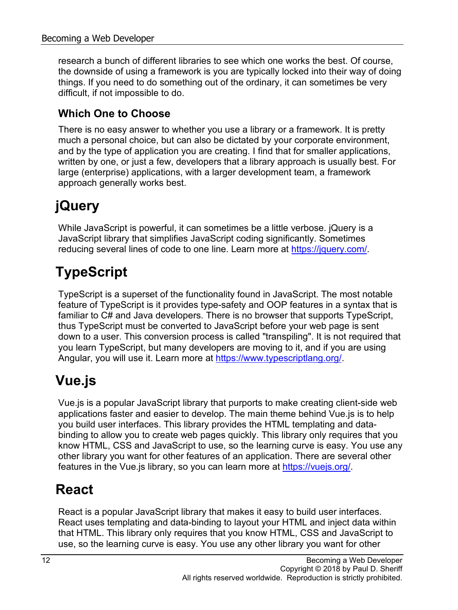research a bunch of different libraries to see which one works the best. Of course, the downside of using a framework is you are typically locked into their way of doing things. If you need to do something out of the ordinary, it can sometimes be very difficult, if not impossible to do.

#### **Which One to Choose**

There is no easy answer to whether you use a library or a framework. It is pretty much a personal choice, but can also be dictated by your corporate environment, and by the type of application you are creating. I find that for smaller applications, written by one, or just a few, developers that a library approach is usually best. For large (enterprise) applications, with a larger development team, a framework approach generally works best.

## **jQuery**

While JavaScript is powerful, it can sometimes be a little verbose. jQuery is a JavaScript library that simplifies JavaScript coding significantly. Sometimes reducing several lines of code to one line. Learn more at [https://jquery.com/.](https://jquery.com/)

## **TypeScript**

TypeScript is a superset of the functionality found in JavaScript. The most notable feature of TypeScript is it provides type-safety and OOP features in a syntax that is familiar to C# and Java developers. There is no browser that supports TypeScript, thus TypeScript must be converted to JavaScript before your web page is sent down to a user. This conversion process is called "transpiling". It is not required that you learn TypeScript, but many developers are moving to it, and if you are using Angular, you will use it. Learn more at [https://www.typescriptlang.org/.](https://www.typescriptlang.org/)

### **Vue.js**

Vue.js is a popular JavaScript library that purports to make creating client-side web applications faster and easier to develop. The main theme behind Vue.js is to help you build user interfaces. This library provides the HTML templating and databinding to allow you to create web pages quickly. This library only requires that you know HTML, CSS and JavaScript to use, so the learning curve is easy. You use any other library you want for other features of an application. There are several other features in the Vue.js library, so you can learn more at [https://vuejs.org/.](https://vuejs.org/)

### **React**

React is a popular JavaScript library that makes it easy to build user interfaces. React uses templating and data-binding to layout your HTML and inject data within that HTML. This library only requires that you know HTML, CSS and JavaScript to use, so the learning curve is easy. You use any other library you want for other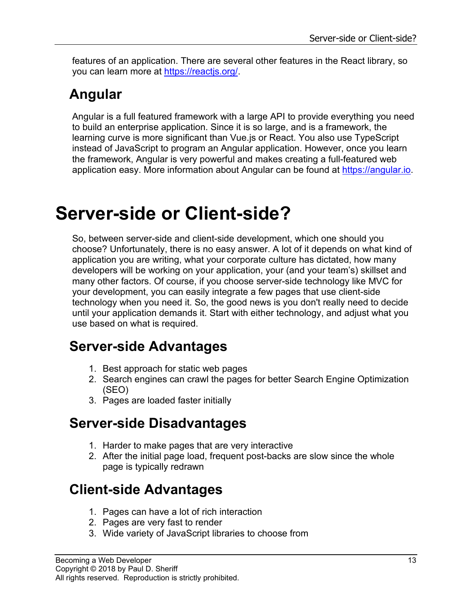features of an application. There are several other features in the React library, so you can learn more at [https://reactjs.org/.](https://reactjs.org/)

### **Angular**

Angular is a full featured framework with a large API to provide everything you need to build an enterprise application. Since it is so large, and is a framework, the learning curve is more significant than Vue.js or React. You also use TypeScript instead of JavaScript to program an Angular application. However, once you learn the framework, Angular is very powerful and makes creating a full-featured web application easy. More information about Angular can be found at [https://angular.io.](https://angular.io/)

# **Server-side or Client-side?**

So, between server-side and client-side development, which one should you choose? Unfortunately, there is no easy answer. A lot of it depends on what kind of application you are writing, what your corporate culture has dictated, how many developers will be working on your application, your (and your team's) skillset and many other factors. Of course, if you choose server-side technology like MVC for your development, you can easily integrate a few pages that use client-side technology when you need it. So, the good news is you don't really need to decide until your application demands it. Start with either technology, and adjust what you use based on what is required.

#### **Server-side Advantages**

- 1. Best approach for static web pages
- 2. Search engines can crawl the pages for better Search Engine Optimization (SEO)
- 3. Pages are loaded faster initially

#### **Server-side Disadvantages**

- 1. Harder to make pages that are very interactive
- 2. After the initial page load, frequent post-backs are slow since the whole page is typically redrawn

### **Client-side Advantages**

- 1. Pages can have a lot of rich interaction
- 2. Pages are very fast to render
- 3. Wide variety of JavaScript libraries to choose from